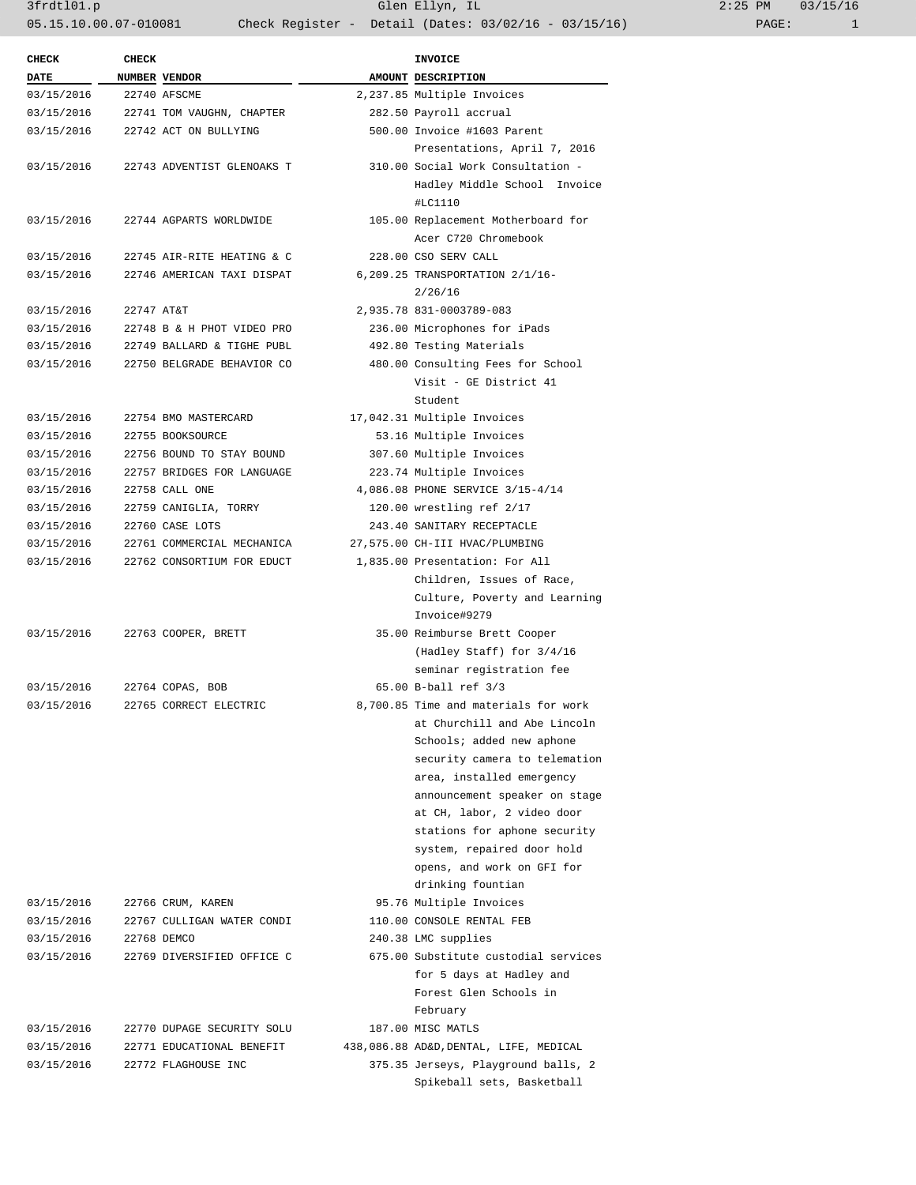3frdtl01.p Glen Ellyn, IL 2:25 PM 03/15/16 05.15.10.00.07-010081 Check Register - Detail (Dates: 03/02/16 - 03/15/16)

| <b>CHECK</b> | <b>CHECK</b> |                            | <b>INVOICE</b>                         |
|--------------|--------------|----------------------------|----------------------------------------|
| <b>DATE</b>  |              | NUMBER VENDOR              | AMOUNT DESCRIPTION                     |
| 03/15/2016   |              | 22740 AFSCME               | 2,237.85 Multiple Invoices             |
| 03/15/2016   |              | 22741 TOM VAUGHN, CHAPTER  | 282.50 Payroll accrual                 |
| 03/15/2016   |              | 22742 ACT ON BULLYING      | 500.00 Invoice #1603 Parent            |
|              |              |                            | Presentations, April 7, 2016           |
| 03/15/2016   |              | 22743 ADVENTIST GLENOAKS T | 310.00 Social Work Consultation -      |
|              |              |                            | Hadley Middle School Invoice           |
|              |              |                            | #LC1110                                |
| 03/15/2016   |              | 22744 AGPARTS WORLDWIDE    | 105.00 Replacement Motherboard for     |
|              |              |                            | Acer C720 Chromebook                   |
| 03/15/2016   |              | 22745 AIR-RITE HEATING & C | 228.00 CSO SERV CALL                   |
| 03/15/2016   |              | 22746 AMERICAN TAXI DISPAT | 6,209.25 TRANSPORTATION 2/1/16-        |
|              |              |                            | 2/26/16                                |
| 03/15/2016   | 22747 AT&T   |                            | 2,935.78 831-0003789-083               |
| 03/15/2016   |              | 22748 B & H PHOT VIDEO PRO | 236.00 Microphones for iPads           |
| 03/15/2016   |              | 22749 BALLARD & TIGHE PUBL | 492.80 Testing Materials               |
| 03/15/2016   |              | 22750 BELGRADE BEHAVIOR CO | 480.00 Consulting Fees for School      |
|              |              |                            | Visit - GE District 41                 |
|              |              |                            | Student                                |
| 03/15/2016   |              | 22754 BMO MASTERCARD       | 17,042.31 Multiple Invoices            |
| 03/15/2016   |              | 22755 BOOKSOURCE           | 53.16 Multiple Invoices                |
| 03/15/2016   |              | 22756 BOUND TO STAY BOUND  | 307.60 Multiple Invoices               |
| 03/15/2016   |              | 22757 BRIDGES FOR LANGUAGE | 223.74 Multiple Invoices               |
| 03/15/2016   |              | 22758 CALL ONE             | 4,086.08 PHONE SERVICE 3/15-4/14       |
| 03/15/2016   |              | 22759 CANIGLIA, TORRY      | 120.00 wrestling ref 2/17              |
| 03/15/2016   |              | 22760 CASE LOTS            | 243.40 SANITARY RECEPTACLE             |
| 03/15/2016   |              | 22761 COMMERCIAL MECHANICA | 27,575.00 CH-III HVAC/PLUMBING         |
| 03/15/2016   |              | 22762 CONSORTIUM FOR EDUCT | 1,835.00 Presentation: For All         |
|              |              |                            | Children, Issues of Race,              |
|              |              |                            | Culture, Poverty and Learning          |
|              |              |                            | Invoice#9279                           |
| 03/15/2016   |              | 22763 COOPER, BRETT        | 35.00 Reimburse Brett Cooper           |
|              |              |                            | (Hadley Staff) for $3/4/16$            |
|              |              |                            | seminar registration fee               |
| 03/15/2016   |              | 22764 COPAS, BOB           | 65.00 B-ball ref 3/3                   |
| 03/15/2016   |              | 22765 CORRECT ELECTRIC     | 8,700.85 Time and materials for work   |
|              |              |                            | at Churchill and Abe Lincoln           |
|              |              |                            | Schools; added new aphone              |
|              |              |                            | security camera to telemation          |
|              |              |                            | area, installed emergency              |
|              |              |                            | announcement speaker on stage          |
|              |              |                            | at CH, labor, 2 video door             |
|              |              |                            |                                        |
|              |              |                            | stations for aphone security           |
|              |              |                            | system, repaired door hold             |
|              |              |                            | opens, and work on GFI for             |
|              |              |                            | drinking fountian                      |
| 03/15/2016   |              | 22766 CRUM, KAREN          | 95.76 Multiple Invoices                |
| 03/15/2016   |              | 22767 CULLIGAN WATER CONDI | 110.00 CONSOLE RENTAL FEB              |
| 03/15/2016   |              | 22768 DEMCO                | 240.38 LMC supplies                    |
| 03/15/2016   |              | 22769 DIVERSIFIED OFFICE C | 675.00 Substitute custodial services   |
|              |              |                            | for 5 days at Hadley and               |
|              |              |                            | Forest Glen Schools in                 |
|              |              |                            | February                               |
| 03/15/2016   |              | 22770 DUPAGE SECURITY SOLU | 187.00 MISC MATLS                      |
| 03/15/2016   |              | 22771 EDUCATIONAL BENEFIT  | 438,086.88 AD&D, DENTAL, LIFE, MEDICAL |
| 03/15/2016   |              | 22772 FLAGHOUSE INC        | 375.35 Jerseys, Playground balls, 2    |
|              |              |                            | Spikeball sets, Basketball             |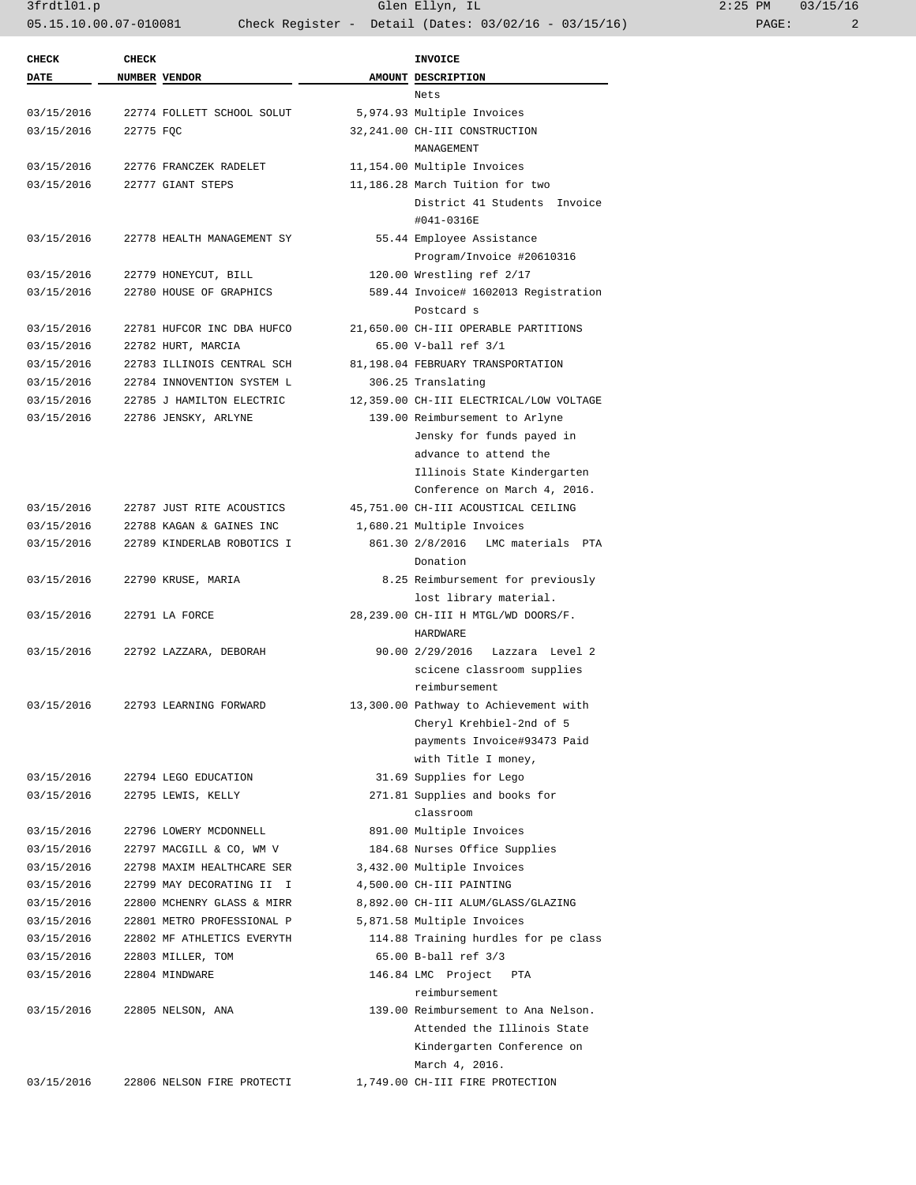3frdtl01.p Glen Ellyn, IL 2:25 PM 03/15/16 05.15.10.00.07-010081 Check Register - Detail (Dates: 03/02/16 - 03/15/16) PAGE: 2

| <b>CHECK</b> | <b>CHECK</b> |                            | INVOICE                                 |
|--------------|--------------|----------------------------|-----------------------------------------|
| DATE         |              | NUMBER VENDOR              | AMOUNT DESCRIPTION                      |
|              |              |                            | Nets                                    |
| 03/15/2016   |              | 22774 FOLLETT SCHOOL SOLUT | 5,974.93 Multiple Invoices              |
| 03/15/2016   | 22775 FQC    |                            | 32,241.00 CH-III CONSTRUCTION           |
|              |              |                            | MANAGEMENT                              |
| 03/15/2016   |              | 22776 FRANCZEK RADELET     | 11,154.00 Multiple Invoices             |
| 03/15/2016   |              | 22777 GIANT STEPS          | 11,186.28 March Tuition for two         |
|              |              |                            | District 41 Students Invoice            |
|              |              |                            | #041-0316E                              |
| 03/15/2016   |              | 22778 HEALTH MANAGEMENT SY | 55.44 Employee Assistance               |
|              |              |                            | Program/Invoice #20610316               |
| 03/15/2016   |              | 22779 HONEYCUT, BILL       | 120.00 Wrestling ref 2/17               |
| 03/15/2016   |              | 22780 HOUSE OF GRAPHICS    | 589.44 Invoice# 1602013 Registration    |
|              |              |                            | Postcard s                              |
| 03/15/2016   |              | 22781 HUFCOR INC DBA HUFCO | 21,650.00 CH-III OPERABLE PARTITIONS    |
| 03/15/2016   |              | 22782 HURT, MARCIA         | 65.00 V-ball ref 3/1                    |
| 03/15/2016   |              | 22783 ILLINOIS CENTRAL SCH | 81,198.04 FEBRUARY TRANSPORTATION       |
| 03/15/2016   |              | 22784 INNOVENTION SYSTEM L | 306.25 Translating                      |
| 03/15/2016   |              | 22785 J HAMILTON ELECTRIC  | 12,359.00 CH-III ELECTRICAL/LOW VOLTAGE |
| 03/15/2016   |              | 22786 JENSKY, ARLYNE       | 139.00 Reimbursement to Arlyne          |
|              |              |                            | Jensky for funds payed in               |
|              |              |                            | advance to attend the                   |
|              |              |                            | Illinois State Kindergarten             |
|              |              |                            | Conference on March 4, 2016.            |
| 03/15/2016   |              | 22787 JUST RITE ACOUSTICS  | 45,751.00 CH-III ACOUSTICAL CEILING     |
| 03/15/2016   |              | 22788 KAGAN & GAINES INC   | 1,680.21 Multiple Invoices              |
| 03/15/2016   |              | 22789 KINDERLAB ROBOTICS I | 861.30 2/8/2016<br>LMC materials PTA    |
|              |              |                            | Donation                                |
| 03/15/2016   |              | 22790 KRUSE, MARIA         | 8.25 Reimbursement for previously       |
|              |              |                            | lost library material.                  |
| 03/15/2016   |              | 22791 LA FORCE             | 28,239.00 CH-III H MTGL/WD DOORS/F.     |
|              |              |                            | HARDWARE                                |
| 03/15/2016   |              | 22792 LAZZARA, DEBORAH     | 90.00 2/29/2016 Lazzara Level 2         |
|              |              |                            | scicene classroom supplies              |
|              |              |                            | reimbursement                           |
| 03/15/2016   |              | 22793 LEARNING FORWARD     | 13,300.00 Pathway to Achievement with   |
|              |              |                            | Cheryl Krehbiel-2nd of 5                |
|              |              |                            | payments Invoice#93473 Paid             |
|              |              |                            | with Title I money,                     |
| 03/15/2016   |              | 22794 LEGO EDUCATION       | 31.69 Supplies for Lego                 |
| 03/15/2016   |              | 22795 LEWIS, KELLY         | 271.81 Supplies and books for           |
|              |              |                            | classroom                               |
| 03/15/2016   |              | 22796 LOWERY MCDONNELL     | 891.00 Multiple Invoices                |
| 03/15/2016   |              | 22797 MACGILL & CO, WM V   | 184.68 Nurses Office Supplies           |
| 03/15/2016   |              | 22798 MAXIM HEALTHCARE SER | 3,432.00 Multiple Invoices              |
| 03/15/2016   |              | 22799 MAY DECORATING II I  | 4,500.00 CH-III PAINTING                |
| 03/15/2016   |              | 22800 MCHENRY GLASS & MIRR | 8,892.00 CH-III ALUM/GLASS/GLAZING      |
| 03/15/2016   |              | 22801 METRO PROFESSIONAL P | 5,871.58 Multiple Invoices              |
| 03/15/2016   |              | 22802 MF ATHLETICS EVERYTH | 114.88 Training hurdles for pe class    |
| 03/15/2016   |              | 22803 MILLER, TOM          | 65.00 B-ball ref 3/3                    |
| 03/15/2016   |              | 22804 MINDWARE             | 146.84 LMC Project<br>PTA               |
|              |              |                            | reimbursement                           |
| 03/15/2016   |              | 22805 NELSON, ANA          | 139.00 Reimbursement to Ana Nelson.     |
|              |              |                            | Attended the Illinois State             |
|              |              |                            | Kindergarten Conference on              |
|              |              |                            | March 4, 2016.                          |
| 03/15/2016   |              | 22806 NELSON FIRE PROTECTI | 1,749.00 CH-III FIRE PROTECTION         |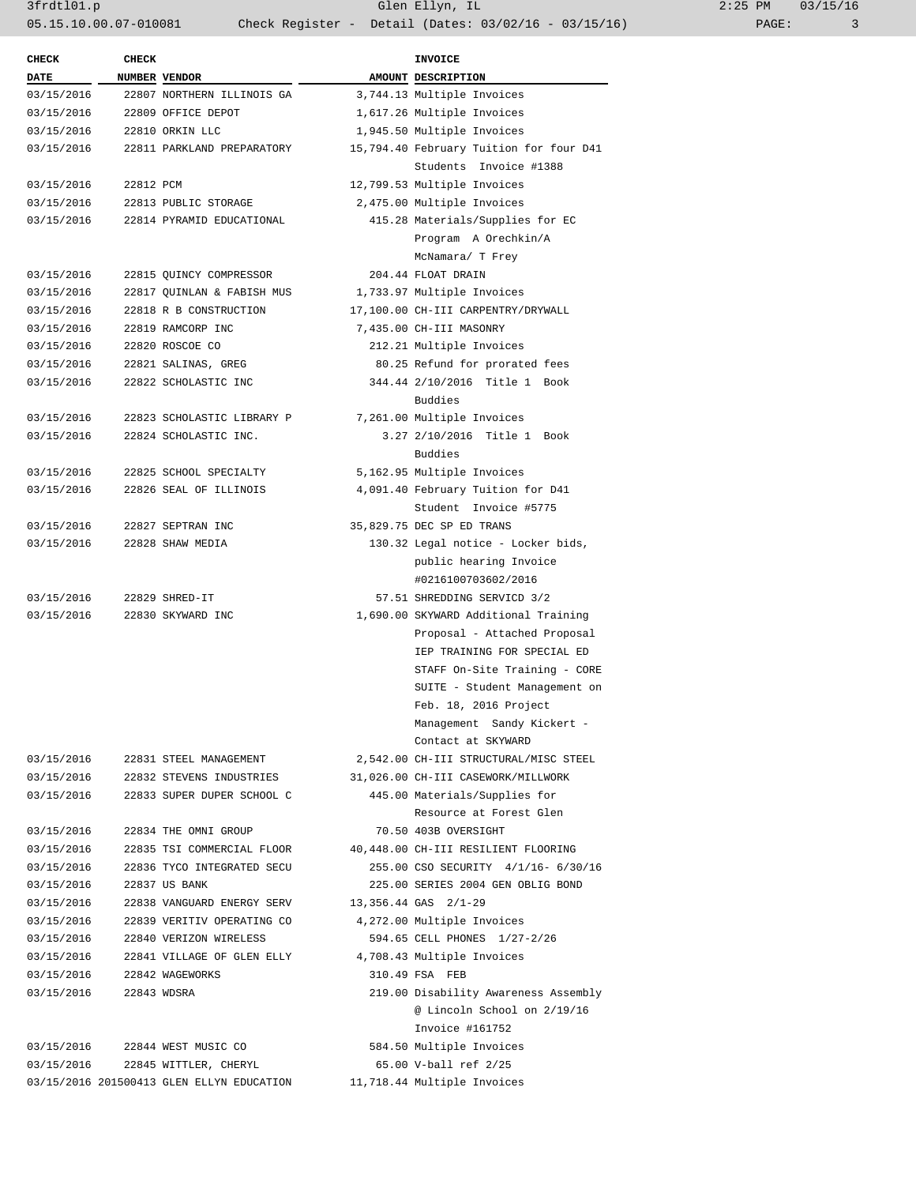| <b>CHECK</b> | CHECK       |                                           | INVOICE                                          |
|--------------|-------------|-------------------------------------------|--------------------------------------------------|
| <b>DATE</b>  |             | NUMBER VENDOR                             | AMOUNT DESCRIPTION                               |
| 03/15/2016   |             | 22807 NORTHERN ILLINOIS GA                | 3,744.13 Multiple Invoices                       |
| 03/15/2016   |             | 22809 OFFICE DEPOT                        | 1,617.26 Multiple Invoices                       |
| 03/15/2016   |             | 22810 ORKIN LLC                           | 1,945.50 Multiple Invoices                       |
| 03/15/2016   |             | 22811 PARKLAND PREPARATORY                | 15,794.40 February Tuition for four D41          |
|              |             |                                           | Students Invoice #1388                           |
| 03/15/2016   | 22812 PCM   |                                           | 12,799.53 Multiple Invoices                      |
| 03/15/2016   |             | 22813 PUBLIC STORAGE                      | 2,475.00 Multiple Invoices                       |
| 03/15/2016   |             | 22814 PYRAMID EDUCATIONAL                 | 415.28 Materials/Supplies for EC                 |
|              |             |                                           | Program A Orechkin/A                             |
|              |             |                                           | McNamara/ T Frey                                 |
| 03/15/2016   |             | 22815 QUINCY COMPRESSOR                   | 204.44 FLOAT DRAIN                               |
| 03/15/2016   |             | 22817 QUINLAN & FABISH MUS                | 1,733.97 Multiple Invoices                       |
| 03/15/2016   |             | 22818 R B CONSTRUCTION                    | 17,100.00 CH-III CARPENTRY/DRYWALL               |
| 03/15/2016   |             | 22819 RAMCORP INC                         | 7,435.00 CH-III MASONRY                          |
| 03/15/2016   |             | 22820 ROSCOE CO                           | 212.21 Multiple Invoices                         |
| 03/15/2016   |             | 22821 SALINAS, GREG                       | 80.25 Refund for prorated fees                   |
|              |             | 22822 SCHOLASTIC INC                      | 344.44 2/10/2016 Title 1 Book                    |
| 03/15/2016   |             |                                           | Buddies                                          |
| 03/15/2016   |             | 22823 SCHOLASTIC LIBRARY P                | 7,261.00 Multiple Invoices                       |
| 03/15/2016   |             | 22824 SCHOLASTIC INC.                     | 3.27 2/10/2016 Title 1 Book<br>Buddies           |
| 03/15/2016   |             | 22825 SCHOOL SPECIALTY                    | 5,162.95 Multiple Invoices                       |
| 03/15/2016   |             | 22826 SEAL OF ILLINOIS                    | 4,091.40 February Tuition for D41                |
|              |             |                                           | Student Invoice #5775                            |
| 03/15/2016   |             | 22827 SEPTRAN INC                         | 35,829.75 DEC SP ED TRANS                        |
| 03/15/2016   |             | 22828 SHAW MEDIA                          | 130.32 Legal notice - Locker bids,               |
|              |             |                                           | public hearing Invoice<br>#0216100703602/2016    |
| 03/15/2016   |             | 22829 SHRED-IT                            | 57.51 SHREDDING SERVICD 3/2                      |
| 03/15/2016   |             | 22830 SKYWARD INC                         | 1,690.00 SKYWARD Additional Training             |
|              |             |                                           | Proposal - Attached Proposal                     |
|              |             |                                           | IEP TRAINING FOR SPECIAL ED                      |
|              |             |                                           | STAFF On-Site Training - CORE                    |
|              |             |                                           | SUITE - Student Management on                    |
|              |             |                                           | Feb. 18, 2016 Project                            |
|              |             |                                           |                                                  |
|              |             |                                           | Management Sandy Kickert -<br>Contact at SKYWARD |
|              |             |                                           |                                                  |
| 03/15/2016   |             | 22831 STEEL MANAGEMENT                    | 2,542.00 CH-III STRUCTURAL/MISC STEEL            |
| 03/15/2016   |             | 22832 STEVENS INDUSTRIES                  | 31,026.00 CH-III CASEWORK/MILLWORK               |
| 03/15/2016   |             | 22833 SUPER DUPER SCHOOL C                | 445.00 Materials/Supplies for                    |
|              |             |                                           | Resource at Forest Glen                          |
| 03/15/2016   |             | 22834 THE OMNI GROUP                      | 70.50 403B OVERSIGHT                             |
| 03/15/2016   |             | 22835 TSI COMMERCIAL FLOOR                | 40,448.00 CH-III RESILIENT FLOORING              |
| 03/15/2016   |             | 22836 TYCO INTEGRATED SECU                | 255.00 CSO SECURITY 4/1/16- 6/30/16              |
| 03/15/2016   |             | 22837 US BANK                             | 225.00 SERIES 2004 GEN OBLIG BOND                |
| 03/15/2016   |             | 22838 VANGUARD ENERGY SERV                | 13,356.44 GAS 2/1-29                             |
| 03/15/2016   |             | 22839 VERITIV OPERATING CO                | 4,272.00 Multiple Invoices                       |
| 03/15/2016   |             | 22840 VERIZON WIRELESS                    | 594.65 CELL PHONES 1/27-2/26                     |
| 03/15/2016   |             | 22841 VILLAGE OF GLEN ELLY                | 4,708.43 Multiple Invoices                       |
| 03/15/2016   |             | 22842 WAGEWORKS                           | 310.49 FSA FEB                                   |
| 03/15/2016   | 22843 WDSRA |                                           | 219.00 Disability Awareness Assembly             |
|              |             |                                           | @ Lincoln School on 2/19/16                      |
|              |             |                                           | Invoice #161752                                  |
|              |             | 03/15/2016 22844 WEST MUSIC CO            | 584.50 Multiple Invoices                         |
| 03/15/2016   |             | 22845 WITTLER, CHERYL                     | 65.00 V-ball ref 2/25                            |
|              |             | 03/15/2016 201500413 GLEN ELLYN EDUCATION | 11,718.44 Multiple Invoices                      |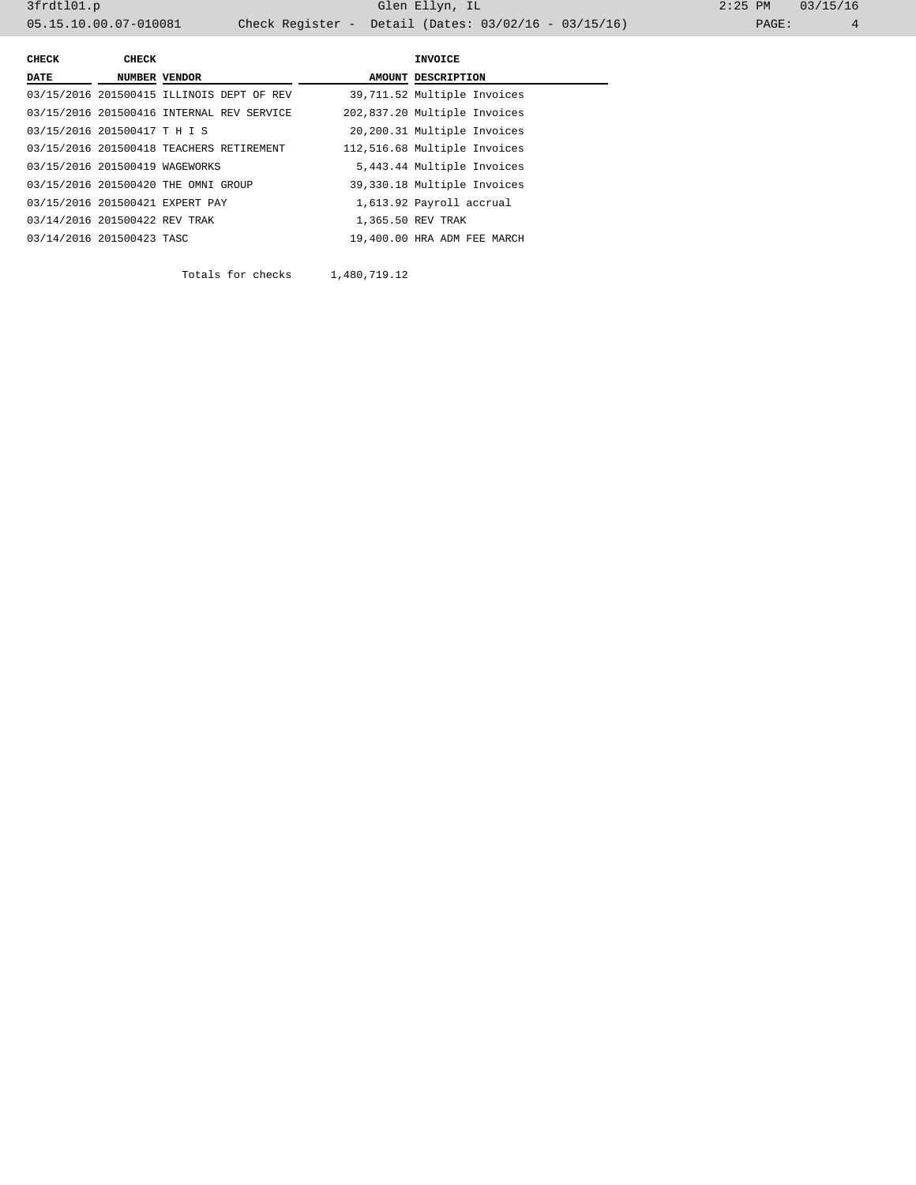3frdtl01.p Glen Ellyn, IL 2:25 PM 03/15/16 05.15.10.00.07-010081 Check Register - Detail (Dates: 03/02/16 - 03/15/16) PAGE: 4

| <b>CHECK</b>                   | CHECK |                                           | INVOICE                      |
|--------------------------------|-------|-------------------------------------------|------------------------------|
| DATE                           |       | NUMBER VENDOR                             | AMOUNT DESCRIPTION           |
|                                |       | 03/15/2016 201500415 ILLINOIS DEPT OF REV | 39,711.52 Multiple Invoices  |
|                                |       | 03/15/2016 201500416 INTERNAL REV SERVICE | 202,837.20 Multiple Invoices |
| 03/15/2016 201500417 T H I S   |       |                                           | 20,200.31 Multiple Invoices  |
|                                |       | 03/15/2016 201500418 TEACHERS RETIREMENT  | 112,516.68 Multiple Invoices |
| 03/15/2016 201500419 WAGEWORKS |       |                                           | 5,443.44 Multiple Invoices   |
|                                |       | 03/15/2016 201500420 THE OMNI GROUP       | 39,330.18 Multiple Invoices  |
|                                |       | 03/15/2016 201500421 EXPERT PAY           | 1,613.92 Payroll accrual     |
| 03/14/2016 201500422 REV TRAK  |       |                                           | 1,365.50 REV TRAK            |
| 03/14/2016 201500423 TASC      |       |                                           | 19,400.00 HRA ADM FEE MARCH  |

Totals for checks 1,480,719.12